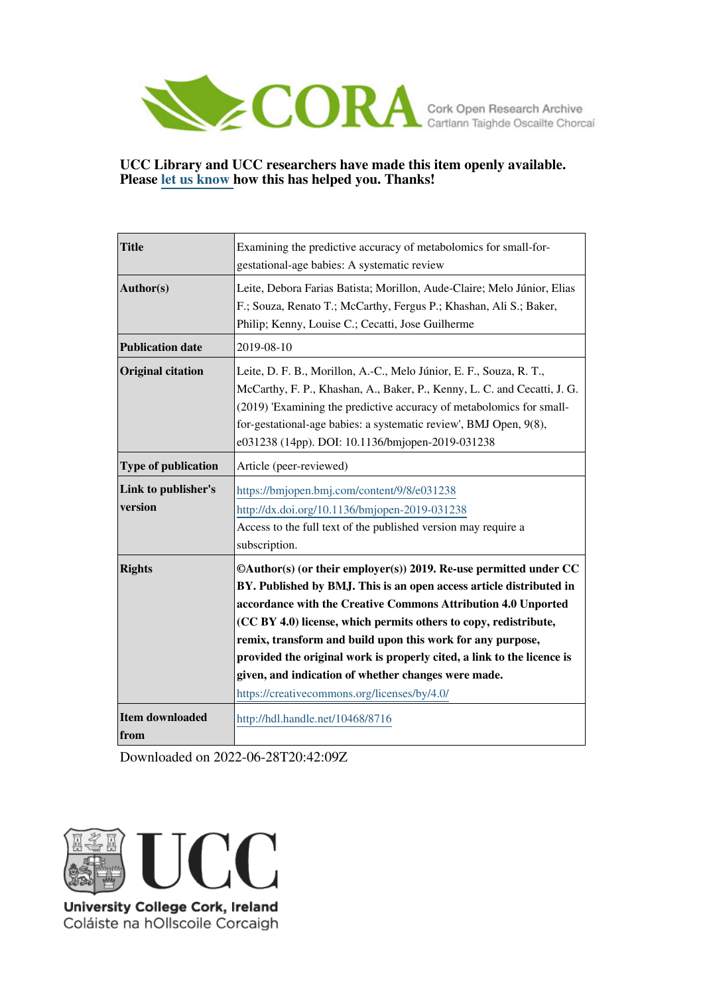

## **UCC Library and UCC researchers have made this item openly available. Please [let us know h](https://libguides.ucc.ie/openaccess/impact?suffix=8716&title=Examining the predictive accuracy of metabolomics for small-for-gestational-age babies: A systematic review)ow this has helped you. Thanks!**

| <b>Title</b>                   | Examining the predictive accuracy of metabolomics for small-for-<br>gestational-age babies: A systematic review                                                                                                                                                                                                                                                                                                                                                                                                              |
|--------------------------------|------------------------------------------------------------------------------------------------------------------------------------------------------------------------------------------------------------------------------------------------------------------------------------------------------------------------------------------------------------------------------------------------------------------------------------------------------------------------------------------------------------------------------|
| Author(s)                      | Leite, Debora Farias Batista; Morillon, Aude-Claire; Melo Júnior, Elias<br>F.; Souza, Renato T.; McCarthy, Fergus P.; Khashan, Ali S.; Baker,<br>Philip; Kenny, Louise C.; Cecatti, Jose Guilherme                                                                                                                                                                                                                                                                                                                           |
| <b>Publication date</b>        | 2019-08-10                                                                                                                                                                                                                                                                                                                                                                                                                                                                                                                   |
| <b>Original citation</b>       | Leite, D. F. B., Morillon, A.-C., Melo Júnior, E. F., Souza, R. T.,<br>McCarthy, F. P., Khashan, A., Baker, P., Kenny, L. C. and Cecatti, J. G.<br>(2019) 'Examining the predictive accuracy of metabolomics for small-<br>for-gestational-age babies: a systematic review', BMJ Open, 9(8),<br>e031238 (14pp). DOI: 10.1136/bmjopen-2019-031238                                                                                                                                                                             |
| <b>Type of publication</b>     | Article (peer-reviewed)                                                                                                                                                                                                                                                                                                                                                                                                                                                                                                      |
| Link to publisher's<br>version | https://bmjopen.bmj.com/content/9/8/e031238<br>http://dx.doi.org/10.1136/bmjopen-2019-031238<br>Access to the full text of the published version may require a<br>subscription.                                                                                                                                                                                                                                                                                                                                              |
| <b>Rights</b>                  | ©Author(s) (or their employer(s)) 2019. Re-use permitted under CC<br>BY. Published by BMJ. This is an open access article distributed in<br>accordance with the Creative Commons Attribution 4.0 Unported<br>(CC BY 4.0) license, which permits others to copy, redistribute,<br>remix, transform and build upon this work for any purpose,<br>provided the original work is properly cited, a link to the licence is<br>given, and indication of whether changes were made.<br>https://creativecommons.org/licenses/by/4.0/ |
| <b>Item downloaded</b><br>from | http://hdl.handle.net/10468/8716                                                                                                                                                                                                                                                                                                                                                                                                                                                                                             |

Downloaded on 2022-06-28T20:42:09Z



Coláiste na hOllscoile Corcaigh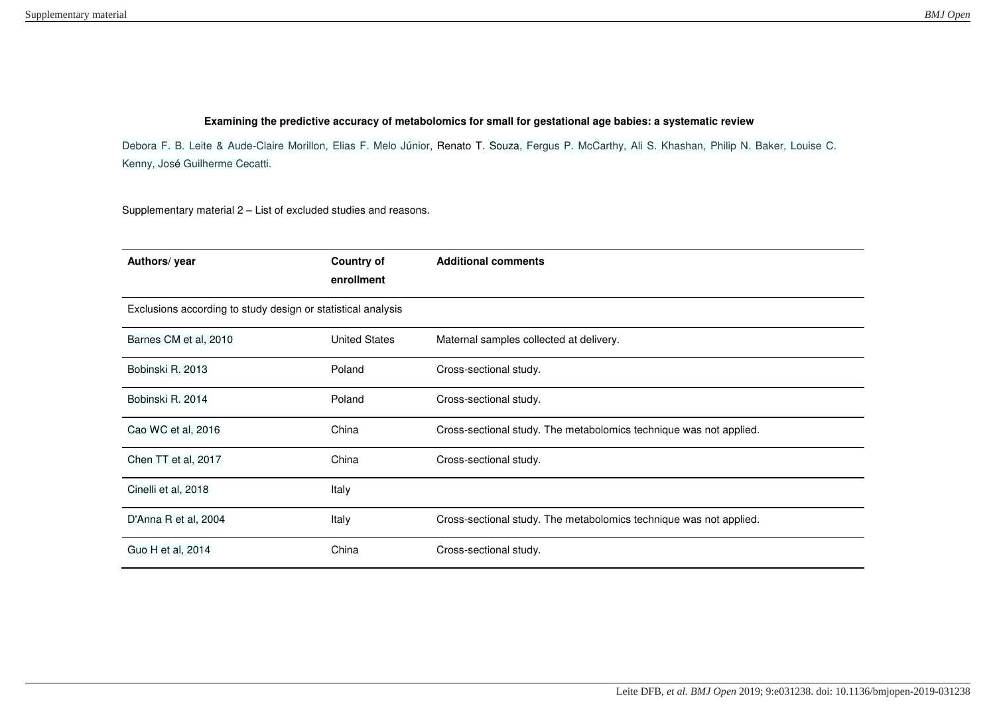## **Examining the predictive accuracy of metabolomics for small for gestational age babies: a systematic review**

Debora F. B. Leite & Aude-Claire Morillon, Elias F. Melo Júnior, Renato T. Souza, Fergus P. McCarthy, Ali S. Khashan, Philip N. Baker, Louise C. Kenny, José Guilherme Cecatti.

Supplementary material 2 – List of excluded studies and reasons.

| Authors/ year                                                | <b>Country of</b><br>enrollment | <b>Additional comments</b>                                         |  |
|--------------------------------------------------------------|---------------------------------|--------------------------------------------------------------------|--|
| Exclusions according to study design or statistical analysis |                                 |                                                                    |  |
| Barnes CM et al, 2010                                        | <b>United States</b>            | Maternal samples collected at delivery.                            |  |
| Bobinski R. 2013                                             | Poland                          | Cross-sectional study.                                             |  |
| Bobinski R. 2014                                             | Poland                          | Cross-sectional study.                                             |  |
| Cao WC et al, 2016                                           | China                           | Cross-sectional study. The metabolomics technique was not applied. |  |
| Chen TT et al, 2017                                          | China                           | Cross-sectional study.                                             |  |
| Cinelli et al, 2018                                          | Italy                           |                                                                    |  |
| D'Anna R et al, 2004                                         | Italy                           | Cross-sectional study. The metabolomics technique was not applied. |  |
| Guo H et al, 2014                                            | China                           | Cross-sectional study.                                             |  |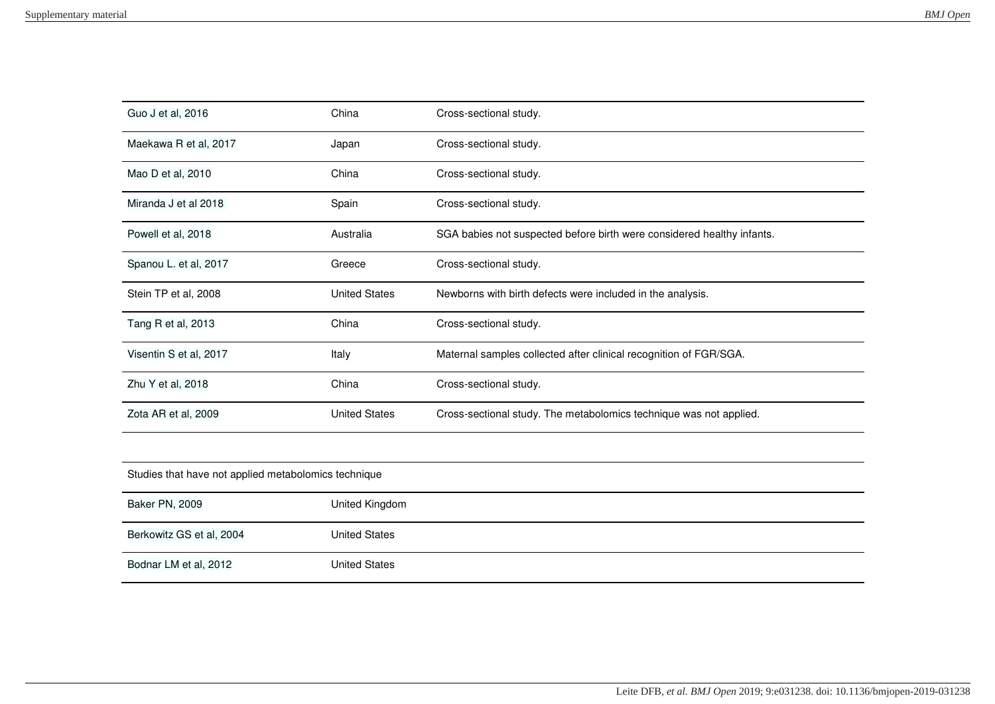| Guo J et al, 2016      | China                | Cross-sectional study.                                                 |
|------------------------|----------------------|------------------------------------------------------------------------|
| Maekawa R et al, 2017  | Japan                | Cross-sectional study.                                                 |
| Mao D et al, 2010      | China                | Cross-sectional study.                                                 |
| Miranda J et al 2018   | Spain                | Cross-sectional study.                                                 |
| Powell et al, 2018     | Australia            | SGA babies not suspected before birth were considered healthy infants. |
| Spanou L. et al, 2017  | Greece               | Cross-sectional study.                                                 |
| Stein TP et al, 2008   | <b>United States</b> | Newborns with birth defects were included in the analysis.             |
| Tang R et al, 2013     | China                | Cross-sectional study.                                                 |
| Visentin S et al, 2017 | Italy                | Maternal samples collected after clinical recognition of FGR/SGA.      |
| Zhu Y et al, 2018      | China                | Cross-sectional study.                                                 |
| Zota AR et al, 2009    | <b>United States</b> | Cross-sectional study. The metabolomics technique was not applied.     |
|                        |                      |                                                                        |

| Studies that have not applied metabolomics technique |                      |  |
|------------------------------------------------------|----------------------|--|
| Baker PN, 2009                                       | United Kingdom       |  |
| Berkowitz GS et al, 2004                             | <b>United States</b> |  |
| Bodnar LM et al, 2012                                | <b>United States</b> |  |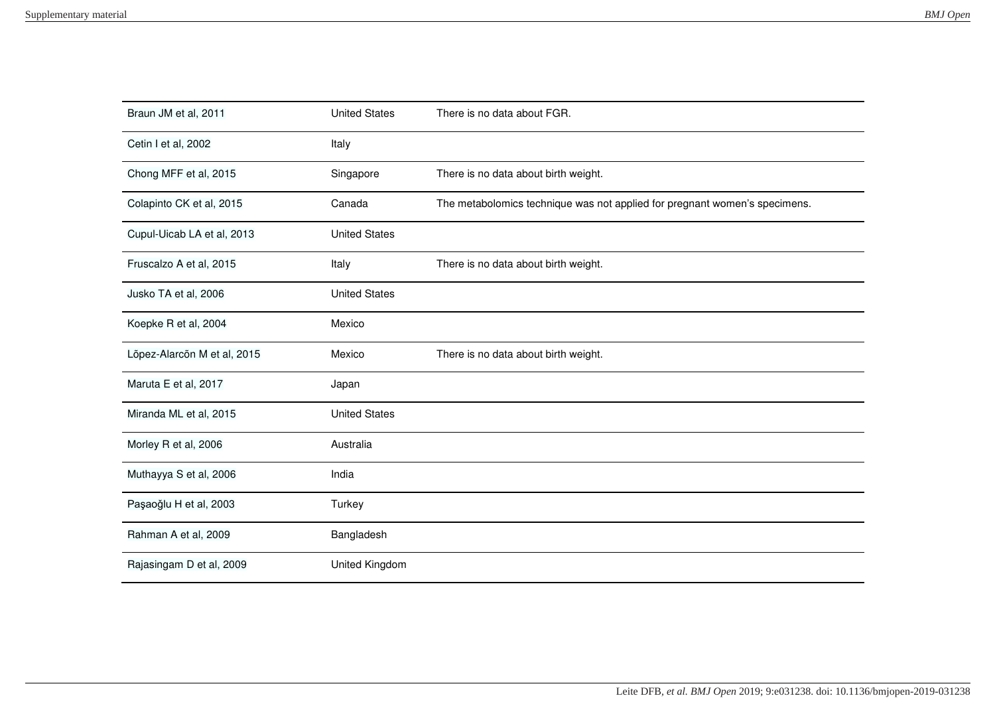| Braun JM et al, 2011        | <b>United States</b> | There is no data about FGR.                                                |
|-----------------------------|----------------------|----------------------------------------------------------------------------|
| Cetin I et al, 2002         | Italy                |                                                                            |
| Chong MFF et al, 2015       | Singapore            | There is no data about birth weight.                                       |
| Colapinto CK et al, 2015    | Canada               | The metabolomics technique was not applied for pregnant women's specimens. |
| Cupul-Uicab LA et al, 2013  | <b>United States</b> |                                                                            |
| Fruscalzo A et al, 2015     | Italy                | There is no data about birth weight.                                       |
| Jusko TA et al, 2006        | <b>United States</b> |                                                                            |
| Koepke R et al, 2004        | Mexico               |                                                                            |
| Lõpez-Alarcõn M et al, 2015 | Mexico               | There is no data about birth weight.                                       |
| Maruta E et al, 2017        | Japan                |                                                                            |
| Miranda ML et al, 2015      | <b>United States</b> |                                                                            |
| Morley R et al, 2006        | Australia            |                                                                            |
| Muthayya S et al, 2006      | India                |                                                                            |
| Paşaoğlu H et al, 2003      | Turkey               |                                                                            |
| Rahman A et al, 2009        | Bangladesh           |                                                                            |
| Rajasingam D et al, 2009    | United Kingdom       |                                                                            |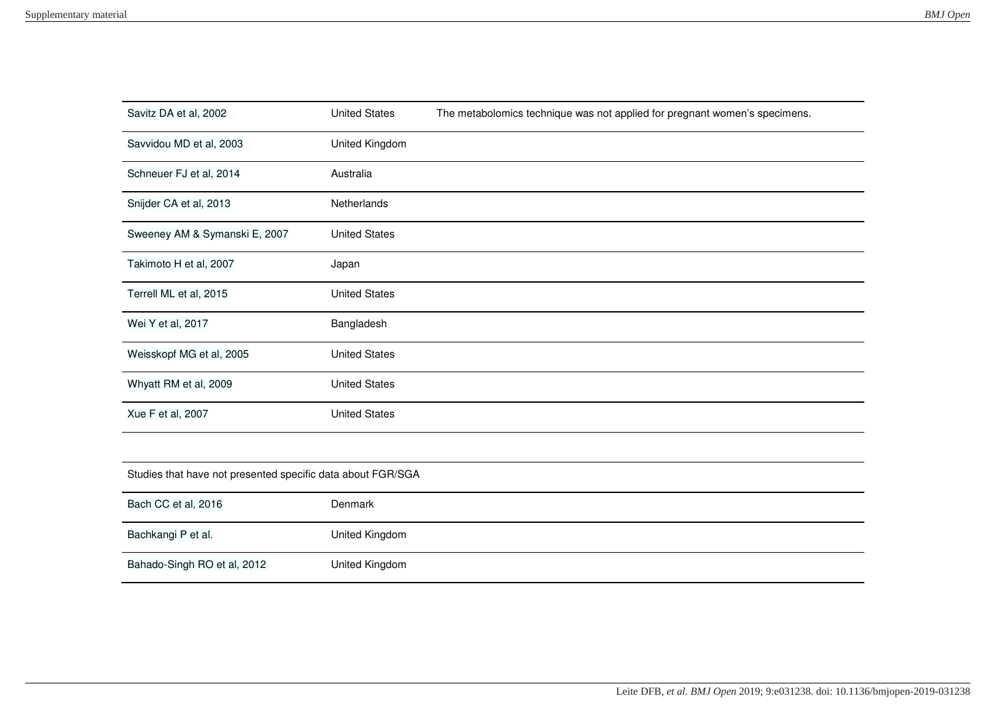| Savitz DA et al, 2002                                       | <b>United States</b> | The metabolomics technique was not applied for pregnant women's specimens. |
|-------------------------------------------------------------|----------------------|----------------------------------------------------------------------------|
| Savvidou MD et al, 2003                                     | United Kingdom       |                                                                            |
| Schneuer FJ et al, 2014                                     | Australia            |                                                                            |
| Snijder CA et al, 2013                                      | Netherlands          |                                                                            |
| Sweeney AM & Symanski E, 2007                               | <b>United States</b> |                                                                            |
| Takimoto H et al, 2007                                      | Japan                |                                                                            |
| Terrell ML et al, 2015                                      | <b>United States</b> |                                                                            |
| Wei Y et al, 2017                                           | Bangladesh           |                                                                            |
| Weisskopf MG et al, 2005                                    | <b>United States</b> |                                                                            |
| Whyatt RM et al, 2009                                       | <b>United States</b> |                                                                            |
| Xue F et al, 2007                                           | <b>United States</b> |                                                                            |
|                                                             |                      |                                                                            |
| Studies that have not presented specific data about FGR/SGA |                      |                                                                            |
| Bach CC et al, 2016                                         | Denmark              |                                                                            |
| Bachkangi P et al.                                          | United Kingdom       |                                                                            |
| Bahado-Singh RO et al, 2012                                 | United Kingdom       |                                                                            |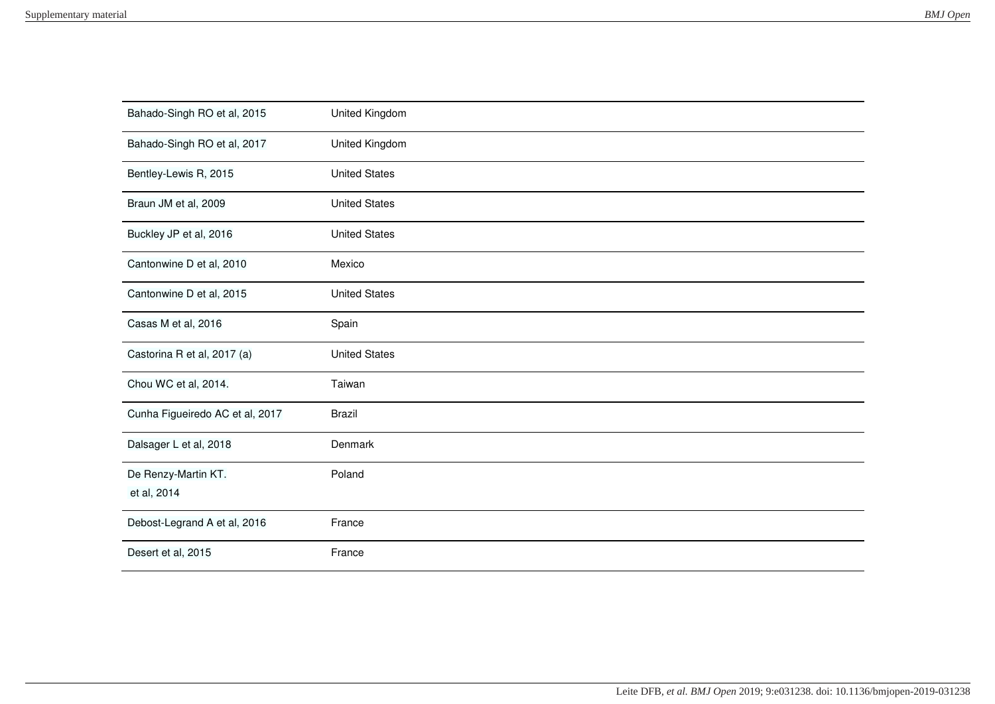| Bahado-Singh RO et al, 2015        | United Kingdom       |
|------------------------------------|----------------------|
| Bahado-Singh RO et al, 2017        | United Kingdom       |
| Bentley-Lewis R, 2015              | <b>United States</b> |
| Braun JM et al, 2009               | <b>United States</b> |
| Buckley JP et al, 2016             | <b>United States</b> |
| Cantonwine D et al, 2010           | Mexico               |
| Cantonwine D et al, 2015           | <b>United States</b> |
| Casas M et al, 2016                | Spain                |
| Castorina R et al, 2017 (a)        | <b>United States</b> |
| Chou WC et al, 2014.               | Taiwan               |
| Cunha Figueiredo AC et al, 2017    | <b>Brazil</b>        |
| Dalsager L et al, 2018             | Denmark              |
| De Renzy-Martin KT.<br>et al, 2014 | Poland               |
| Debost-Legrand A et al, 2016       | France               |
|                                    |                      |
| Desert et al, 2015                 | France               |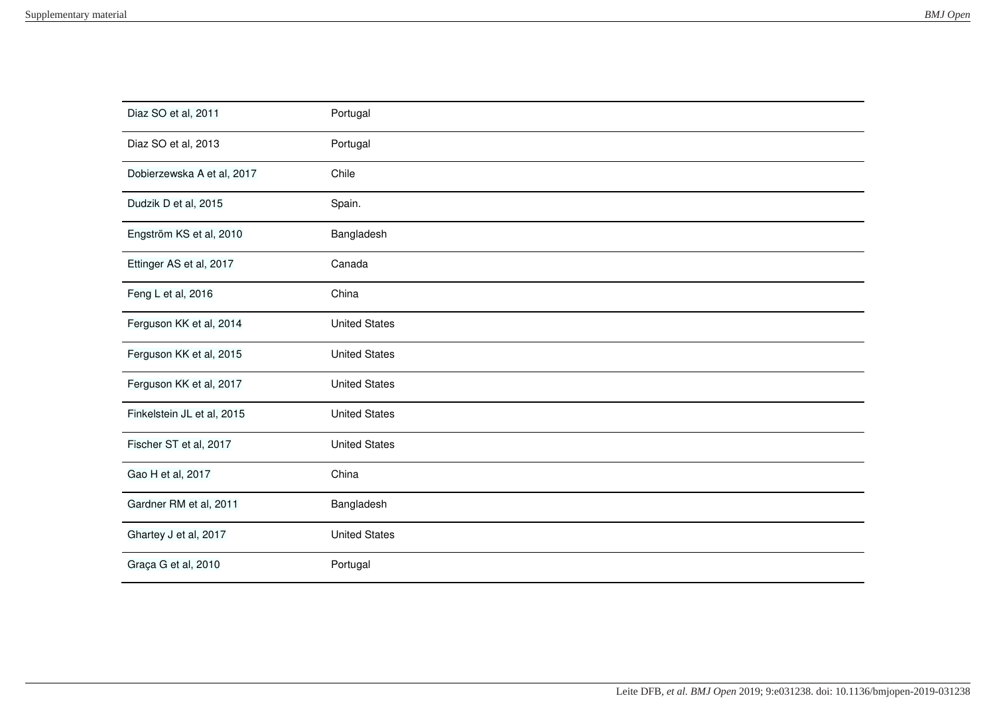| Diaz SO et al, 2011        | Portugal             |
|----------------------------|----------------------|
| Diaz SO et al, 2013        | Portugal             |
| Dobierzewska A et al, 2017 | Chile                |
| Dudzik D et al, 2015       | Spain.               |
| Engström KS et al, 2010    | Bangladesh           |
| Ettinger AS et al, 2017    | Canada               |
| Feng L et al, 2016         | China                |
| Ferguson KK et al, 2014    | <b>United States</b> |
| Ferguson KK et al, 2015    | <b>United States</b> |
| Ferguson KK et al, 2017    | <b>United States</b> |
| Finkelstein JL et al, 2015 | <b>United States</b> |
| Fischer ST et al, 2017     | <b>United States</b> |
| Gao H et al, 2017          | China                |
| Gardner RM et al, 2011     | Bangladesh           |
| Ghartey J et al, 2017      | <b>United States</b> |
| Graça G et al, 2010        | Portugal             |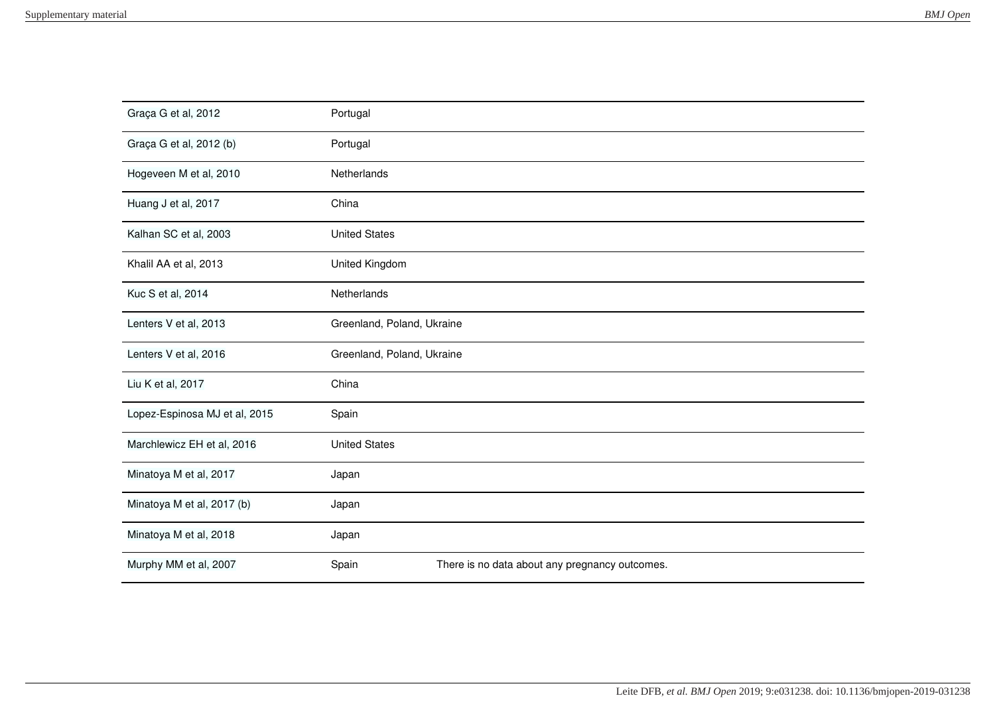| Graça G et al, 2012           | Portugal                                                |  |
|-------------------------------|---------------------------------------------------------|--|
| Graça G et al, 2012 (b)       | Portugal                                                |  |
| Hogeveen M et al, 2010        | Netherlands                                             |  |
| Huang J et al, 2017           | China                                                   |  |
| Kalhan SC et al, 2003         | <b>United States</b>                                    |  |
| Khalil AA et al, 2013         | United Kingdom                                          |  |
| Kuc S et al, 2014             | Netherlands                                             |  |
| Lenters V et al, 2013         | Greenland, Poland, Ukraine                              |  |
| Lenters V et al, 2016         | Greenland, Poland, Ukraine                              |  |
| Liu K et al, 2017             | China                                                   |  |
| Lopez-Espinosa MJ et al, 2015 | Spain                                                   |  |
| Marchlewicz EH et al, 2016    | <b>United States</b>                                    |  |
| Minatoya M et al, 2017        | Japan                                                   |  |
| Minatoya M et al, 2017 (b)    | Japan                                                   |  |
| Minatoya M et al, 2018        | Japan                                                   |  |
| Murphy MM et al, 2007         | There is no data about any pregnancy outcomes.<br>Spain |  |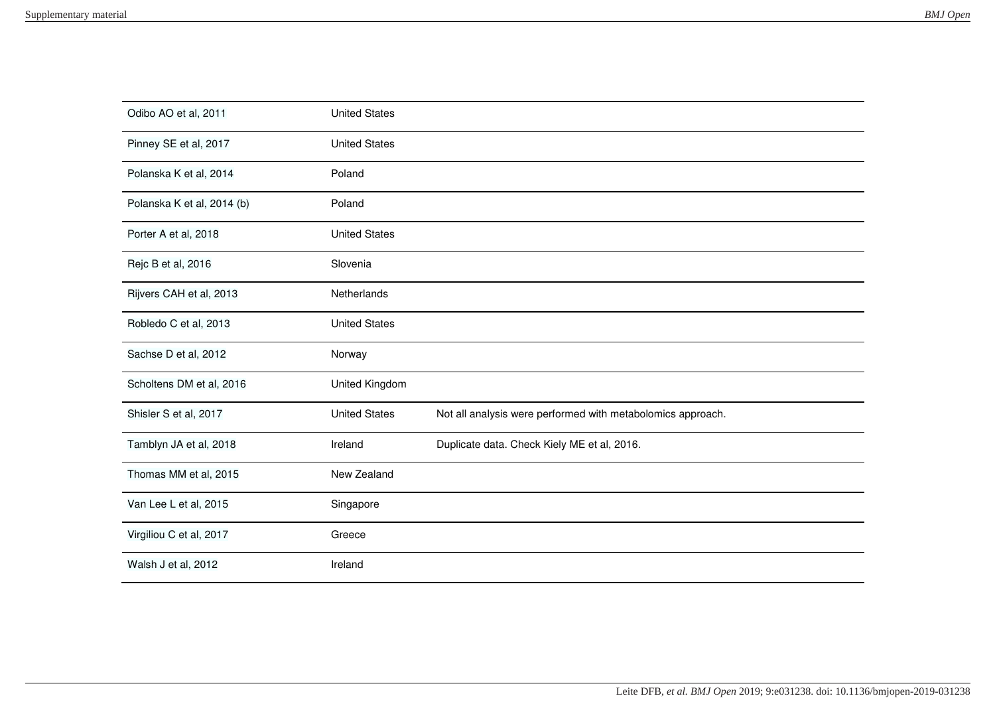| Odibo AO et al, 2011       | <b>United States</b> |                                                             |
|----------------------------|----------------------|-------------------------------------------------------------|
| Pinney SE et al, 2017      | <b>United States</b> |                                                             |
| Polanska K et al, 2014     | Poland               |                                                             |
| Polanska K et al, 2014 (b) | Poland               |                                                             |
| Porter A et al, 2018       | <b>United States</b> |                                                             |
| Rejc B et al, 2016         | Slovenia             |                                                             |
| Rijvers CAH et al, 2013    | Netherlands          |                                                             |
| Robledo C et al, 2013      | <b>United States</b> |                                                             |
| Sachse D et al, 2012       | Norway               |                                                             |
| Scholtens DM et al, 2016   | United Kingdom       |                                                             |
| Shisler S et al, 2017      | <b>United States</b> | Not all analysis were performed with metabolomics approach. |
| Tamblyn JA et al, 2018     | Ireland              | Duplicate data. Check Kiely ME et al, 2016.                 |
| Thomas MM et al, 2015      | New Zealand          |                                                             |
| Van Lee L et al, 2015      | Singapore            |                                                             |
| Virgiliou C et al, 2017    | Greece               |                                                             |
| Walsh J et al, 2012        | Ireland              |                                                             |